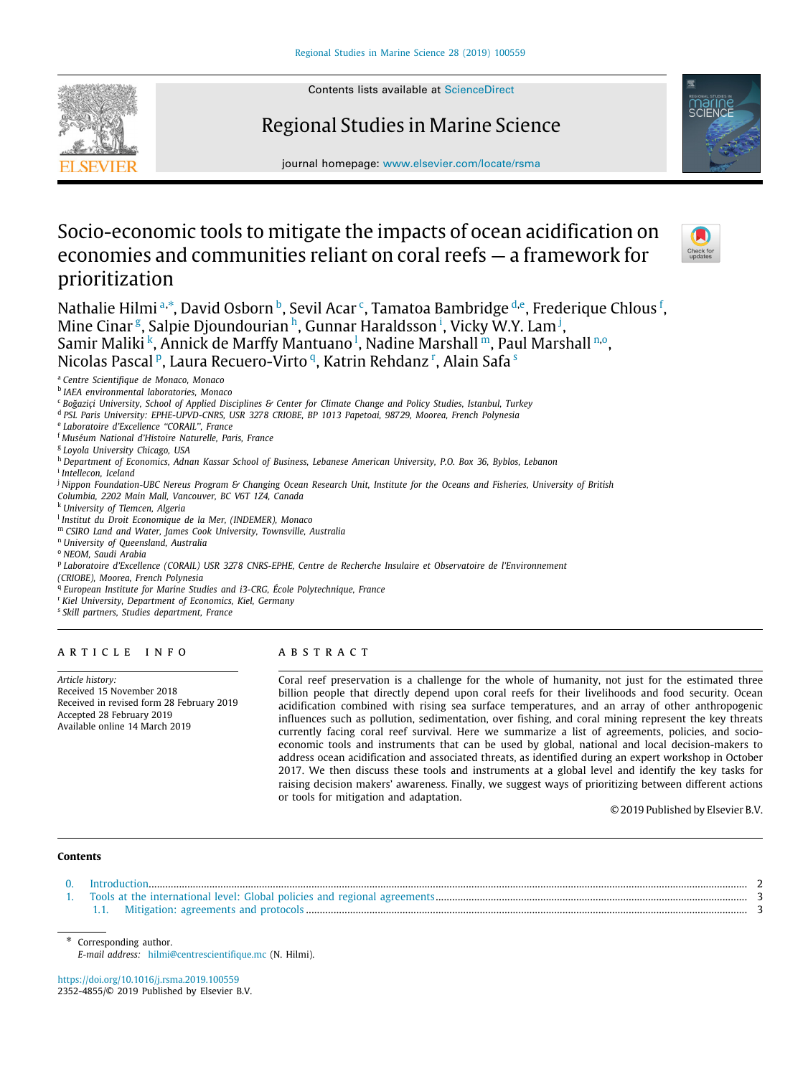

Contents lists available at [ScienceDirect](http://www.elsevier.com/locate/rsma)

# Regional Studies in Marine Science



journal homepage: [www.elsevier.com/locate/rsma](http://www.elsevier.com/locate/rsma)

# Socio-economic tools to mitigate the impacts of ocean acidification on economies and communities reliant on coral reefs — a framework for prioritization



N[a](#page-0-0)thalie Hilmi ª,\*, David Os[b](#page-0-2)orn <sup>b</sup>, Sevil A[c](#page-0-3)ar <sup>c</sup>, Tamatoa Bambri[d](#page-0-4)g[e](#page-0-5) <sup>d,e</sup>, Frederique Chlous <sup>[f](#page-0-6)</sup>, Mine Cinar <sup>[g](#page-0-7)</sup>, Salpie Djoundourian <sup>[h](#page-0-8)</sup>, Gunnar Haraldsson <sup>[i](#page-0-9)</sup>, Vicky W.Y. Lam <sup>[j](#page-0-10)</sup>, Samir Mali[k](#page-0-11)i <sup>k</sup>, Annick de Marffy Mantuano <sup>[l](#page-0-12)</sup>, Nadine Marshall [m](#page-0-13), Paul Marshall [n](#page-0-14).º, Nicolas Pascal <su[p](#page-0-16)>p</sup>, Laura Recuero-Virto <sup>[q](#page-0-17)</sup>, Kat[r](#page-0-18)in Rehdanz <[s](#page-0-19)up>r</sup>, Alain Safa <sup>s</sup>

<span id="page-0-3"></span><sup>c</sup> *Boğaziçi University, School of Applied Disciplines & Center for Climate Change and Policy Studies, Istanbul, Turkey*

<span id="page-0-4"></span>d *PSL Paris University: EPHE-UPVD-CNRS, USR 3278 CRIOBE, BP 1013 Papetoai, 98729, Moorea, French Polynesia*

<span id="page-0-5"></span>e *Laboratoire d'Excellence ''CORAIL'', France*

<span id="page-0-7"></span>g *Loyola University Chicago, USA*

<span id="page-0-8"></span><sup>h</sup> *Department of Economics, Adnan Kassar School of Business, Lebanese American University, P.O. Box 36, Byblos, Lebanon*

<span id="page-0-9"></span>i *Intellecon, Iceland*

<span id="page-0-10"></span><sup>j</sup> *Nippon Foundation-UBC Nereus Program & Changing Ocean Research Unit, Institute for the Oceans and Fisheries, University of British Columbia, 2202 Main Mall, Vancouver, BC V6T 1Z4, Canada*

<span id="page-0-11"></span><sup>k</sup> *University of Tlemcen, Algeria*

<span id="page-0-13"></span><sup>m</sup> *CSIRO Land and Water, James Cook University, Townsville, Australia*

<span id="page-0-14"></span><sup>n</sup> *University of Queensland, Australia*

<span id="page-0-15"></span><sup>o</sup> *NEOM, Saudi Arabia*

- <span id="page-0-16"></span>p *Laboratoire d'Excellence (CORAIL) USR 3278 CNRS-EPHE, Centre de Recherche Insulaire et Observatoire de l'Environnement*
- *(CRIOBE), Moorea, French Polynesia*

<span id="page-0-17"></span><sup>q</sup> European Institute for Marine Studies and i3-CRG, École Polytechnique, France

<span id="page-0-18"></span><sup>r</sup> *Kiel University, Department of Economics, Kiel, Germany*

<span id="page-0-19"></span>s *Skill partners, Studies department, France*

#### a r t i c l e i n f o

*Article history:* Received 15 November 2018 Received in revised form 28 February 2019 Accepted 28 February 2019 Available online 14 March 2019

# A B S T R A C T

Coral reef preservation is a challenge for the whole of humanity, not just for the estimated three billion people that directly depend upon coral reefs for their livelihoods and food security. Ocean acidification combined with rising sea surface temperatures, and an array of other anthropogenic influences such as pollution, sedimentation, over fishing, and coral mining represent the key threats currently facing coral reef survival. Here we summarize a list of agreements, policies, and socioeconomic tools and instruments that can be used by global, national and local decision-makers to address ocean acidification and associated threats, as identified during an expert workshop in October 2017. We then discuss these tools and instruments at a global level and identify the key tasks for raising decision makers' awareness. Finally, we suggest ways of prioritizing between different actions or tools for mitigation and adaptation.

© 2019 Published by Elsevier B.V.

## **Contents**

| 0. Introduction. |  |
|------------------|--|
|                  |  |
|                  |  |

<span id="page-0-1"></span>Corresponding author. *E-mail address:* [hilmi@centrescientifique.mc](mailto:hilmi@centrescientifique.mc) (N. Hilmi).

<https://doi.org/10.1016/j.rsma.2019.100559> 2352-4855/© 2019 Published by Elsevier B.V.

<span id="page-0-0"></span><sup>a</sup> *Centre Scientifique de Monaco, Monaco*

<span id="page-0-2"></span>b *IAEA environmental laboratories, Monaco*

<span id="page-0-6"></span><sup>f</sup> *Muséum National d'Histoire Naturelle, Paris, France*

<span id="page-0-12"></span>l *Institut du Droit Economique de la Mer, (INDEMER), Monaco*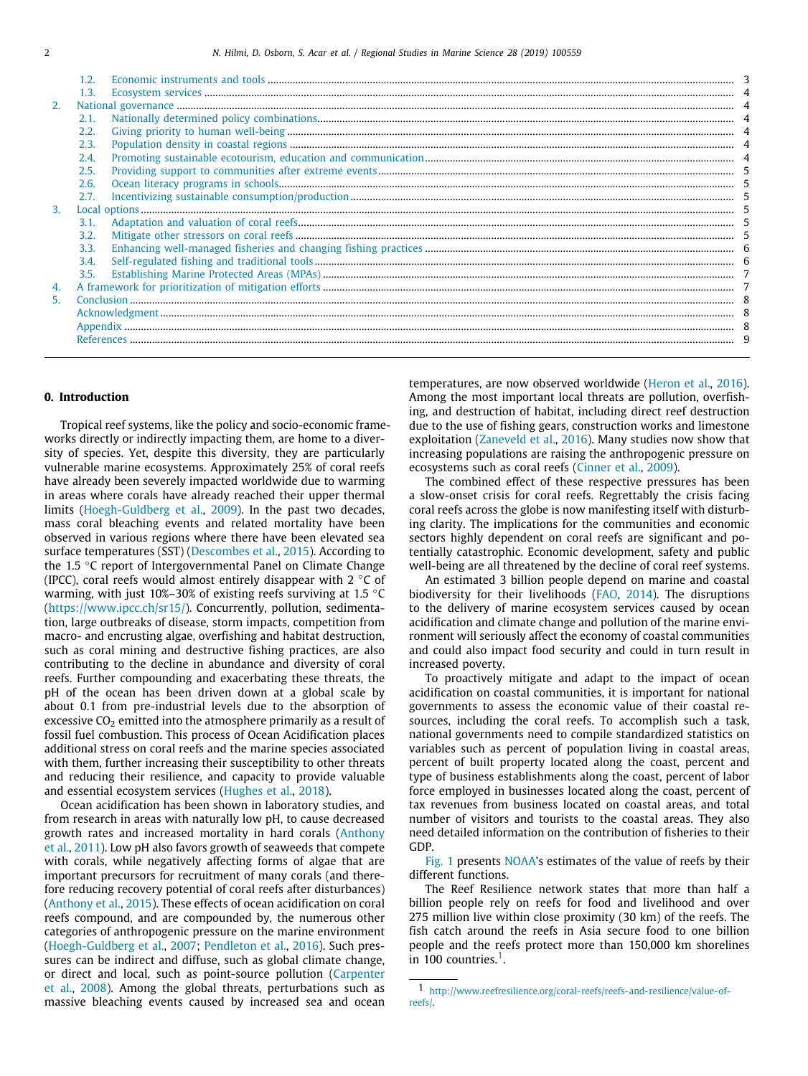|    | 1.3. |  |
|----|------|--|
| 2. |      |  |
|    |      |  |
|    | 2.2. |  |
|    | 2.3. |  |
|    | 2.4. |  |
|    | 2.5. |  |
|    | 2.6. |  |
|    | 2.7. |  |
| 3. |      |  |
|    |      |  |
|    | 3.2. |  |
|    | 3.3. |  |
|    | 3.4. |  |
|    | 3.5. |  |
| 4. |      |  |
| 5. |      |  |
|    |      |  |
|    |      |  |
|    |      |  |
|    |      |  |

#### <span id="page-1-0"></span>**0. Introduction**

Tropical reef systems, like the policy and socio-economic frameworks directly or indirectly impacting them, are home to a diversity of species. Yet, despite this diversity, they are particularly vulnerable marine ecosystems. Approximately 25% of coral reefs have already been severely impacted worldwide due to warming in areas where corals have already reached their upper thermal limits ([Hoegh-Guldberg et al.,](#page-8-1) [2009\)](#page-8-1). In the past two decades, mass coral bleaching events and related mortality have been observed in various regions where there have been elevated sea surface temperatures (SST) ([Descombes et al.,](#page-8-2) [2015](#page-8-2)). According to the 1.5 ◦C report of Intergovernmental Panel on Climate Change (IPCC), coral reefs would almost entirely disappear with 2  $\degree$ C of warming, with just 10%–30% of existing reefs surviving at 1.5 ◦C ([https://www.ipcc.ch/sr15/\)](https://www.ipcc.ch/sr15/). Concurrently, pollution, sedimentation, large outbreaks of disease, storm impacts, competition from macro- and encrusting algae, overfishing and habitat destruction, such as coral mining and destructive fishing practices, are also contributing to the decline in abundance and diversity of coral reefs. Further compounding and exacerbating these threats, the pH of the ocean has been driven down at a global scale by about 0.1 from pre-industrial levels due to the absorption of excessive  $CO<sub>2</sub>$  emitted into the atmosphere primarily as a result of fossil fuel combustion. This process of Ocean Acidification places additional stress on coral reefs and the marine species associated with them, further increasing their susceptibility to other threats and reducing their resilience, and capacity to provide valuable and essential ecosystem services [\(Hughes et al.,](#page-8-3) [2018](#page-8-3)).

Ocean acidification has been shown in laboratory studies, and from research in areas with naturally low pH, to cause decreased growth rates and increased mortality in hard corals ([Anthony](#page-8-4) [et al.,](#page-8-4) [2011](#page-8-4)). Low pH also favors growth of seaweeds that compete with corals, while negatively affecting forms of algae that are important precursors for recruitment of many corals (and therefore reducing recovery potential of coral reefs after disturbances) ([Anthony et al.,](#page-8-5) [2015](#page-8-5)). These effects of ocean acidification on coral reefs compound, and are compounded by, the numerous other categories of anthropogenic pressure on the marine environment ([Hoegh-Guldberg et al.,](#page-8-6) [2007;](#page-8-6) [Pendleton et al.](#page-9-0), [2016](#page-9-0)). Such pressures can be indirect and diffuse, such as global climate change, or direct and local, such as point-source pollution ([Carpenter](#page-8-7) [et al.](#page-8-7), [2008\)](#page-8-7). Among the global threats, perturbations such as massive bleaching events caused by increased sea and ocean temperatures, are now observed worldwide [\(Heron et al.,](#page-8-8) [2016\)](#page-8-8). Among the most important local threats are pollution, overfishing, and destruction of habitat, including direct reef destruction due to the use of fishing gears, construction works and limestone exploitation ([Zaneveld et al.,](#page-9-1) [2016](#page-9-1)). Many studies now show that increasing populations are raising the anthropogenic pressure on ecosystems such as coral reefs [\(Cinner et al.](#page-8-9), [2009](#page-8-9)).

The combined effect of these respective pressures has been a slow-onset crisis for coral reefs. Regrettably the crisis facing coral reefs across the globe is now manifesting itself with disturbing clarity. The implications for the communities and economic sectors highly dependent on coral reefs are significant and potentially catastrophic. Economic development, safety and public well-being are all threatened by the decline of coral reef systems.

An estimated 3 billion people depend on marine and coastal biodiversity for their livelihoods ([FAO](#page-8-10), [2014](#page-8-10)). The disruptions to the delivery of marine ecosystem services caused by ocean acidification and climate change and pollution of the marine environment will seriously affect the economy of coastal communities and could also impact food security and could in turn result in increased poverty.

To proactively mitigate and adapt to the impact of ocean acidification on coastal communities, it is important for national governments to assess the economic value of their coastal resources, including the coral reefs. To accomplish such a task, national governments need to compile standardized statistics on variables such as percent of population living in coastal areas, percent of built property located along the coast, percent and type of business establishments along the coast, percent of labor force employed in businesses located along the coast, percent of tax revenues from business located on coastal areas, and total number of visitors and tourists to the coastal areas. They also need detailed information on the contribution of fisheries to their GDP.

[Fig.](#page-2-3) [1](#page-2-3) presents [NOAA](#page-9-2)'s estimates of the value of reefs by their different functions.

The Reef Resilience network states that more than half a billion people rely on reefs for food and livelihood and over 275 million live within close proximity (30 km) of the reefs. The fish catch around the reefs in Asia secure food to one billion people and the reefs protect more than 150,000 km shorelines in [1](#page-1-1)00 countries.<sup>1</sup>.

<span id="page-1-1"></span><sup>1</sup> [http://www.reefresilience.org/coral-reefs/reefs-and-resilience/value-of](http://www.reefresilience.org/coral-reefs/reefs-and-resilience/value-of-reefs/)[reefs/.](http://www.reefresilience.org/coral-reefs/reefs-and-resilience/value-of-reefs/)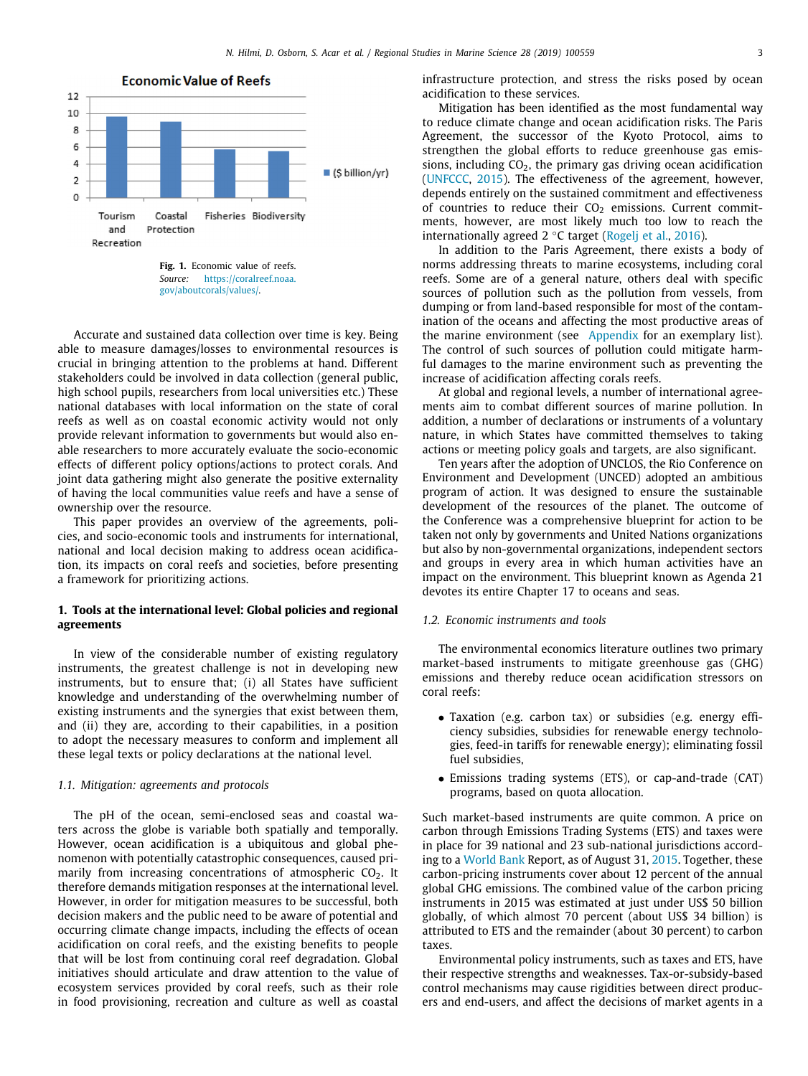

*Source:* [https://coralreef.noaa.](https://coralreef.noaa.gov/aboutcorals/values/) [gov/aboutcorals/values/.](https://coralreef.noaa.gov/aboutcorals/values/)

<span id="page-2-3"></span>Accurate and sustained data collection over time is key. Being able to measure damages/losses to environmental resources is crucial in bringing attention to the problems at hand. Different stakeholders could be involved in data collection (general public, high school pupils, researchers from local universities etc.) These national databases with local information on the state of coral reefs as well as on coastal economic activity would not only provide relevant information to governments but would also enable researchers to more accurately evaluate the socio-economic effects of different policy options/actions to protect corals. And joint data gathering might also generate the positive externality of having the local communities value reefs and have a sense of ownership over the resource.

This paper provides an overview of the agreements, policies, and socio-economic tools and instruments for international, national and local decision making to address ocean acidification, its impacts on coral reefs and societies, before presenting a framework for prioritizing actions.

# <span id="page-2-0"></span>**1. Tools at the international level: Global policies and regional agreements**

In view of the considerable number of existing regulatory instruments, the greatest challenge is not in developing new instruments, but to ensure that; (i) all States have sufficient knowledge and understanding of the overwhelming number of existing instruments and the synergies that exist between them, and (ii) they are, according to their capabilities, in a position to adopt the necessary measures to conform and implement all these legal texts or policy declarations at the national level.

## <span id="page-2-1"></span>*1.1. Mitigation: agreements and protocols*

The pH of the ocean, semi-enclosed seas and coastal waters across the globe is variable both spatially and temporally. However, ocean acidification is a ubiquitous and global phenomenon with potentially catastrophic consequences, caused primarily from increasing concentrations of atmospheric  $CO<sub>2</sub>$ . It therefore demands mitigation responses at the international level. However, in order for mitigation measures to be successful, both decision makers and the public need to be aware of potential and occurring climate change impacts, including the effects of ocean acidification on coral reefs, and the existing benefits to people that will be lost from continuing coral reef degradation. Global initiatives should articulate and draw attention to the value of ecosystem services provided by coral reefs, such as their role in food provisioning, recreation and culture as well as coastal

infrastructure protection, and stress the risks posed by ocean acidification to these services.

Mitigation has been identified as the most fundamental way to reduce climate change and ocean acidification risks. The Paris Agreement, the successor of the Kyoto Protocol, aims to strengthen the global efforts to reduce greenhouse gas emissions, including  $CO<sub>2</sub>$ , the primary gas driving ocean acidification ([UNFCCC,](#page-9-3) [2015](#page-9-3)). The effectiveness of the agreement, however, depends entirely on the sustained commitment and effectiveness of countries to reduce their  $CO<sub>2</sub>$  emissions. Current commitments, however, are most likely much too low to reach the internationally agreed 2 ◦C target [\(Rogelj et al.,](#page-9-4) [2016\)](#page-9-4).

In addition to the Paris Agreement, there exists a body of norms addressing threats to marine ecosystems, including coral reefs. Some are of a general nature, others deal with specific sources of pollution such as the pollution from vessels, from dumping or from land-based responsible for most of the contamination of the oceans and affecting the most productive areas of the marine environment (see [Appendix](#page-7-3) for an exemplary list). The control of such sources of pollution could mitigate harmful damages to the marine environment such as preventing the increase of acidification affecting corals reefs.

At global and regional levels, a number of international agreements aim to combat different sources of marine pollution. In addition, a number of declarations or instruments of a voluntary nature, in which States have committed themselves to taking actions or meeting policy goals and targets, are also significant.

Ten years after the adoption of UNCLOS, the Rio Conference on Environment and Development (UNCED) adopted an ambitious program of action. It was designed to ensure the sustainable development of the resources of the planet. The outcome of the Conference was a comprehensive blueprint for action to be taken not only by governments and United Nations organizations but also by non-governmental organizations, independent sectors and groups in every area in which human activities have an impact on the environment. This blueprint known as Agenda 21 devotes its entire Chapter 17 to oceans and seas.

#### <span id="page-2-2"></span>*1.2. Economic instruments and tools*

The environmental economics literature outlines two primary market-based instruments to mitigate greenhouse gas (GHG) emissions and thereby reduce ocean acidification stressors on coral reefs:

- Taxation (e.g. carbon tax) or subsidies (e.g. energy efficiency subsidies, subsidies for renewable energy technologies, feed-in tariffs for renewable energy); eliminating fossil fuel subsidies,
- Emissions trading systems (ETS), or cap-and-trade (CAT) programs, based on quota allocation.

Such market-based instruments are quite common. A price on carbon through Emissions Trading Systems (ETS) and taxes were in place for 39 national and 23 sub-national jurisdictions according to a [World Bank](#page-9-5) Report, as of August 31, [2015.](#page-9-5) Together, these carbon-pricing instruments cover about 12 percent of the annual global GHG emissions. The combined value of the carbon pricing instruments in 2015 was estimated at just under US\$ 50 billion globally, of which almost 70 percent (about US\$ 34 billion) is attributed to ETS and the remainder (about 30 percent) to carbon taxes.

Environmental policy instruments, such as taxes and ETS, have their respective strengths and weaknesses. Tax-or-subsidy-based control mechanisms may cause rigidities between direct producers and end-users, and affect the decisions of market agents in a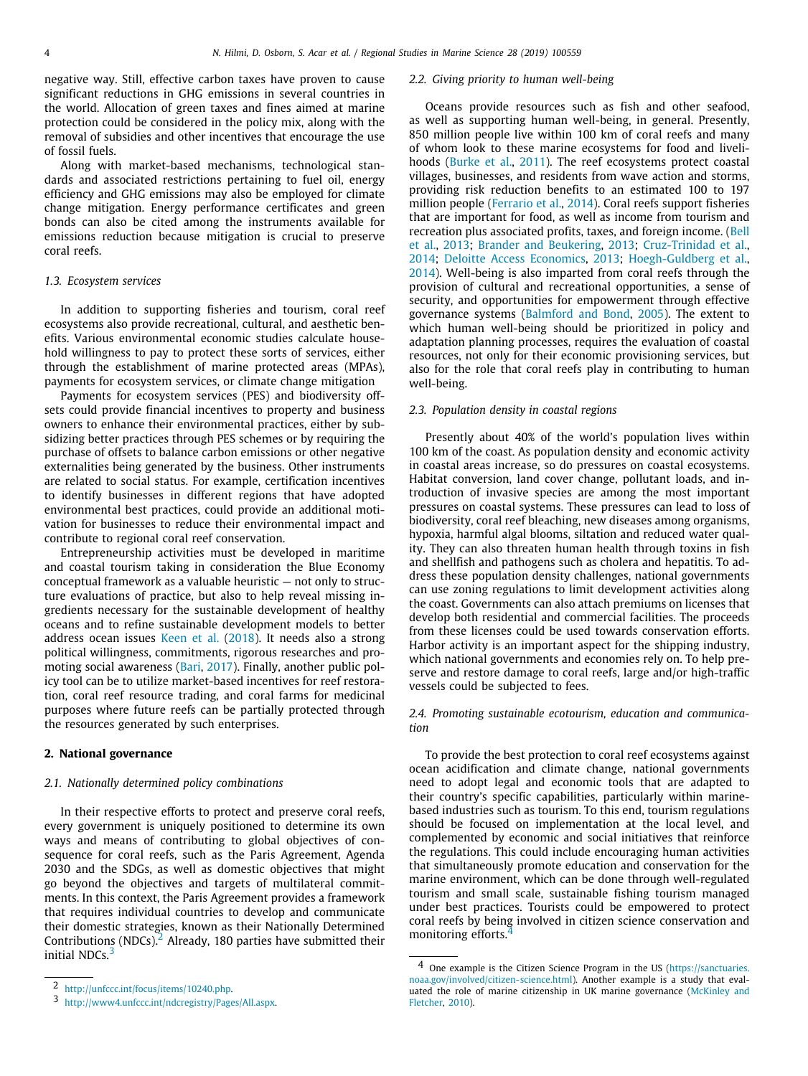negative way. Still, effective carbon taxes have proven to cause significant reductions in GHG emissions in several countries in the world. Allocation of green taxes and fines aimed at marine protection could be considered in the policy mix, along with the removal of subsidies and other incentives that encourage the use of fossil fuels.

Along with market-based mechanisms, technological standards and associated restrictions pertaining to fuel oil, energy efficiency and GHG emissions may also be employed for climate change mitigation. Energy performance certificates and green bonds can also be cited among the instruments available for emissions reduction because mitigation is crucial to preserve coral reefs.

### <span id="page-3-0"></span>*1.3. Ecosystem services*

In addition to supporting fisheries and tourism, coral reef ecosystems also provide recreational, cultural, and aesthetic benefits. Various environmental economic studies calculate household willingness to pay to protect these sorts of services, either through the establishment of marine protected areas (MPAs), payments for ecosystem services, or climate change mitigation

Payments for ecosystem services (PES) and biodiversity offsets could provide financial incentives to property and business owners to enhance their environmental practices, either by subsidizing better practices through PES schemes or by requiring the purchase of offsets to balance carbon emissions or other negative externalities being generated by the business. Other instruments are related to social status. For example, certification incentives to identify businesses in different regions that have adopted environmental best practices, could provide an additional motivation for businesses to reduce their environmental impact and contribute to regional coral reef conservation.

Entrepreneurship activities must be developed in maritime and coastal tourism taking in consideration the Blue Economy conceptual framework as a valuable heuristic — not only to structure evaluations of practice, but also to help reveal missing ingredients necessary for the sustainable development of healthy oceans and to refine sustainable development models to better address ocean issues [Keen et al.](#page-8-11) ([2018\)](#page-8-11). It needs also a strong political willingness, commitments, rigorous researches and promoting social awareness ([Bari](#page-8-12), [2017\)](#page-8-12). Finally, another public policy tool can be to utilize market-based incentives for reef restoration, coral reef resource trading, and coral farms for medicinal purposes where future reefs can be partially protected through the resources generated by such enterprises.

# <span id="page-3-1"></span>**2. National governance**

#### <span id="page-3-2"></span>*2.1. Nationally determined policy combinations*

In their respective efforts to protect and preserve coral reefs, every government is uniquely positioned to determine its own ways and means of contributing to global objectives of consequence for coral reefs, such as the Paris Agreement, Agenda 2030 and the SDGs, as well as domestic objectives that might go beyond the objectives and targets of multilateral commitments. In this context, the Paris Agreement provides a framework that requires individual countries to develop and communicate their domestic strategies, known as their Nationally Determined Contributions (NDCs).<sup>[2](#page-3-6)</sup> Already, 180 parties have submitted their initial NDCs.<sup>[3](#page-3-7)</sup>

#### <span id="page-3-3"></span>*2.2. Giving priority to human well-being*

Oceans provide resources such as fish and other seafood, as well as supporting human well-being, in general. Presently, 850 million people live within 100 km of coral reefs and many of whom look to these marine ecosystems for food and livelihoods ([Burke et al.,](#page-8-13) [2011](#page-8-13)). The reef ecosystems protect coastal villages, businesses, and residents from wave action and storms, providing risk reduction benefits to an estimated 100 to 197 million people ([Ferrario et al.](#page-8-14), [2014\)](#page-8-14). Coral reefs support fisheries that are important for food, as well as income from tourism and recreation plus associated profits, taxes, and foreign income. [\(Bell](#page-8-15) [et al.](#page-8-15), [2013](#page-8-15); [Brander and Beukering](#page-8-16), [2013;](#page-8-16) [Cruz-Trinidad et al.,](#page-8-17) [2014;](#page-8-17) [Deloitte Access Economics,](#page-8-18) [2013;](#page-8-18) [Hoegh-Guldberg et al.,](#page-8-19) [2014\)](#page-8-19). Well-being is also imparted from coral reefs through the provision of cultural and recreational opportunities, a sense of security, and opportunities for empowerment through effective governance systems ([Balmford and Bond,](#page-8-20) [2005\)](#page-8-20). The extent to which human well-being should be prioritized in policy and adaptation planning processes, requires the evaluation of coastal resources, not only for their economic provisioning services, but also for the role that coral reefs play in contributing to human well-being.

#### <span id="page-3-4"></span>*2.3. Population density in coastal regions*

Presently about 40% of the world's population lives within 100 km of the coast. As population density and economic activity in coastal areas increase, so do pressures on coastal ecosystems. Habitat conversion, land cover change, pollutant loads, and introduction of invasive species are among the most important pressures on coastal systems. These pressures can lead to loss of biodiversity, coral reef bleaching, new diseases among organisms, hypoxia, harmful algal blooms, siltation and reduced water quality. They can also threaten human health through toxins in fish and shellfish and pathogens such as cholera and hepatitis. To address these population density challenges, national governments can use zoning regulations to limit development activities along the coast. Governments can also attach premiums on licenses that develop both residential and commercial facilities. The proceeds from these licenses could be used towards conservation efforts. Harbor activity is an important aspect for the shipping industry, which national governments and economies rely on. To help preserve and restore damage to coral reefs, large and/or high-traffic vessels could be subjected to fees.

## <span id="page-3-5"></span>*2.4. Promoting sustainable ecotourism, education and communication*

To provide the best protection to coral reef ecosystems against ocean acidification and climate change, national governments need to adopt legal and economic tools that are adapted to their country's specific capabilities, particularly within marinebased industries such as tourism. To this end, tourism regulations should be focused on implementation at the local level, and complemented by economic and social initiatives that reinforce the regulations. This could include encouraging human activities that simultaneously promote education and conservation for the marine environment, which can be done through well-regulated tourism and small scale, sustainable fishing tourism managed under best practices. Tourists could be empowered to protect coral reefs by being involved in citizen science conservation and monitoring efforts.<sup>[4](#page-3-8)</sup>

<span id="page-3-6"></span><sup>2</sup> <http://unfccc.int/focus/items/10240.php>.

<span id="page-3-7"></span><sup>3</sup> [http://www4.unfccc.int/ndcregistry/Pages/All.aspx.](http://www4.unfccc.int/ndcregistry/Pages/All.aspx)

<span id="page-3-8"></span><sup>4</sup> One example is the Citizen Science Program in the US ([https://sanctuaries.](https://sanctuaries.noaa.gov/involved/citizen-science.html) [noaa.gov/involved/citizen-science.html](https://sanctuaries.noaa.gov/involved/citizen-science.html)). Another example is a study that evaluated the role of marine citizenship in UK marine governance [\(McKinley and](#page-9-6) [Fletcher](#page-9-6), [2010](#page-9-6)).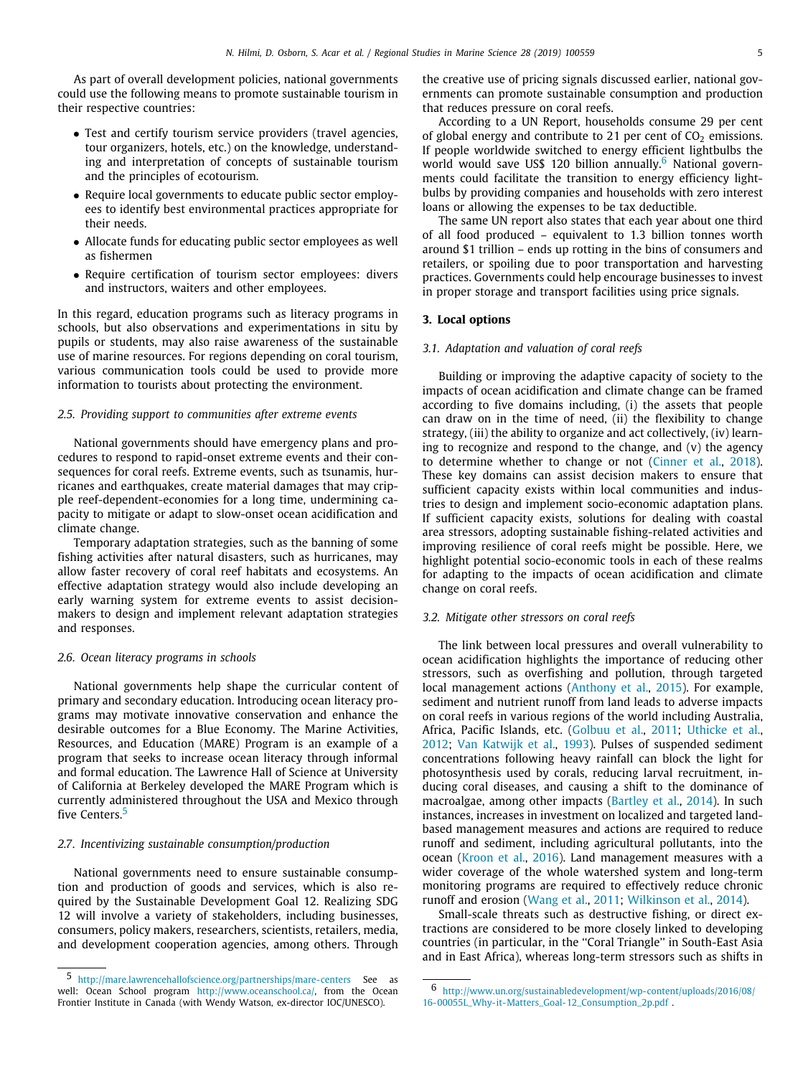As part of overall development policies, national governments could use the following means to promote sustainable tourism in their respective countries:

- Test and certify tourism service providers (travel agencies, tour organizers, hotels, etc.) on the knowledge, understanding and interpretation of concepts of sustainable tourism and the principles of ecotourism.
- Require local governments to educate public sector employees to identify best environmental practices appropriate for their needs.
- Allocate funds for educating public sector employees as well as fishermen
- Require certification of tourism sector employees: divers and instructors, waiters and other employees.

In this regard, education programs such as literacy programs in schools, but also observations and experimentations in situ by pupils or students, may also raise awareness of the sustainable use of marine resources. For regions depending on coral tourism, various communication tools could be used to provide more information to tourists about protecting the environment.

#### <span id="page-4-0"></span>*2.5. Providing support to communities after extreme events*

National governments should have emergency plans and procedures to respond to rapid-onset extreme events and their consequences for coral reefs. Extreme events, such as tsunamis, hurricanes and earthquakes, create material damages that may cripple reef-dependent-economies for a long time, undermining capacity to mitigate or adapt to slow-onset ocean acidification and climate change.

Temporary adaptation strategies, such as the banning of some fishing activities after natural disasters, such as hurricanes, may allow faster recovery of coral reef habitats and ecosystems. An effective adaptation strategy would also include developing an early warning system for extreme events to assist decisionmakers to design and implement relevant adaptation strategies and responses.

#### <span id="page-4-1"></span>*2.6. Ocean literacy programs in schools*

National governments help shape the curricular content of primary and secondary education. Introducing ocean literacy programs may motivate innovative conservation and enhance the desirable outcomes for a Blue Economy. The Marine Activities, Resources, and Education (MARE) Program is an example of a program that seeks to increase ocean literacy through informal and formal education. The Lawrence Hall of Science at University of California at Berkeley developed the MARE Program which is currently administered throughout the USA and Mexico through five Centers.<sup>[5](#page-4-6)</sup>

## <span id="page-4-2"></span>*2.7. Incentivizing sustainable consumption/production*

National governments need to ensure sustainable consumption and production of goods and services, which is also required by the Sustainable Development Goal 12. Realizing SDG 12 will involve a variety of stakeholders, including businesses, consumers, policy makers, researchers, scientists, retailers, media, and development cooperation agencies, among others. Through the creative use of pricing signals discussed earlier, national governments can promote sustainable consumption and production that reduces pressure on coral reefs.

According to a UN Report, households consume 29 per cent of global energy and contribute to 21 per cent of  $CO<sub>2</sub>$  emissions. If people worldwide switched to energy efficient lightbulbs the world would save US\$ 120 billion annually.<sup>[6](#page-4-7)</sup> National governments could facilitate the transition to energy efficiency lightbulbs by providing companies and households with zero interest loans or allowing the expenses to be tax deductible.

The same UN report also states that each year about one third of all food produced – equivalent to 1.3 billion tonnes worth around \$1 trillion – ends up rotting in the bins of consumers and retailers, or spoiling due to poor transportation and harvesting practices. Governments could help encourage businesses to invest in proper storage and transport facilities using price signals.

## <span id="page-4-3"></span>**3. Local options**

## <span id="page-4-4"></span>*3.1. Adaptation and valuation of coral reefs*

Building or improving the adaptive capacity of society to the impacts of ocean acidification and climate change can be framed according to five domains including, (i) the assets that people can draw on in the time of need, (ii) the flexibility to change strategy, (iii) the ability to organize and act collectively, (iv) learning to recognize and respond to the change, and (v) the agency to determine whether to change or not ([Cinner et al.,](#page-8-21) [2018\)](#page-8-21). These key domains can assist decision makers to ensure that sufficient capacity exists within local communities and industries to design and implement socio-economic adaptation plans. If sufficient capacity exists, solutions for dealing with coastal area stressors, adopting sustainable fishing-related activities and improving resilience of coral reefs might be possible. Here, we highlight potential socio-economic tools in each of these realms for adapting to the impacts of ocean acidification and climate change on coral reefs.

#### <span id="page-4-5"></span>*3.2. Mitigate other stressors on coral reefs*

The link between local pressures and overall vulnerability to ocean acidification highlights the importance of reducing other stressors, such as overfishing and pollution, through targeted local management actions [\(Anthony et al.](#page-8-5), [2015\)](#page-8-5). For example, sediment and nutrient runoff from land leads to adverse impacts on coral reefs in various regions of the world including Australia, Africa, Pacific Islands, etc. [\(Golbuu et al.](#page-8-22), [2011;](#page-8-22) [Uthicke et al.,](#page-9-7) [2012;](#page-9-7) [Van Katwijk et al.](#page-9-8), [1993](#page-9-8)). Pulses of suspended sediment concentrations following heavy rainfall can block the light for photosynthesis used by corals, reducing larval recruitment, inducing coral diseases, and causing a shift to the dominance of macroalgae, among other impacts ([Bartley et al.](#page-8-23), [2014\)](#page-8-23). In such instances, increases in investment on localized and targeted landbased management measures and actions are required to reduce runoff and sediment, including agricultural pollutants, into the ocean ([Kroon et al.](#page-8-24), [2016](#page-8-24)). Land management measures with a wider coverage of the whole watershed system and long-term monitoring programs are required to effectively reduce chronic runoff and erosion [\(Wang et al.](#page-9-9), [2011](#page-9-9); [Wilkinson et al.,](#page-9-10) [2014\)](#page-9-10).

Small-scale threats such as destructive fishing, or direct extractions are considered to be more closely linked to developing countries (in particular, in the ''Coral Triangle'' in South-East Asia and in East Africa), whereas long-term stressors such as shifts in

<span id="page-4-6"></span><sup>5</sup> <http://mare.lawrencehallofscience.org/partnerships/mare-centers> See as well: Ocean School program [http://www.oceanschool.ca/,](http://www.oceanschool.ca/) from the Ocean Frontier Institute in Canada (with Wendy Watson, ex-director IOC/UNESCO).

<span id="page-4-7"></span><sup>6</sup> [http://www.un.org/sustainabledevelopment/wp-content/uploads/2016/08/](http://www.un.org/sustainabledevelopment/wp-content/uploads/2016/08/16-00055L_Why-it-Matters_Goal-12_Consumption_2p.pdf) [16-00055L\\_Why- it-Matters\\_Goal-12\\_Consumption\\_2p.pdf](http://www.un.org/sustainabledevelopment/wp-content/uploads/2016/08/16-00055L_Why-it-Matters_Goal-12_Consumption_2p.pdf) .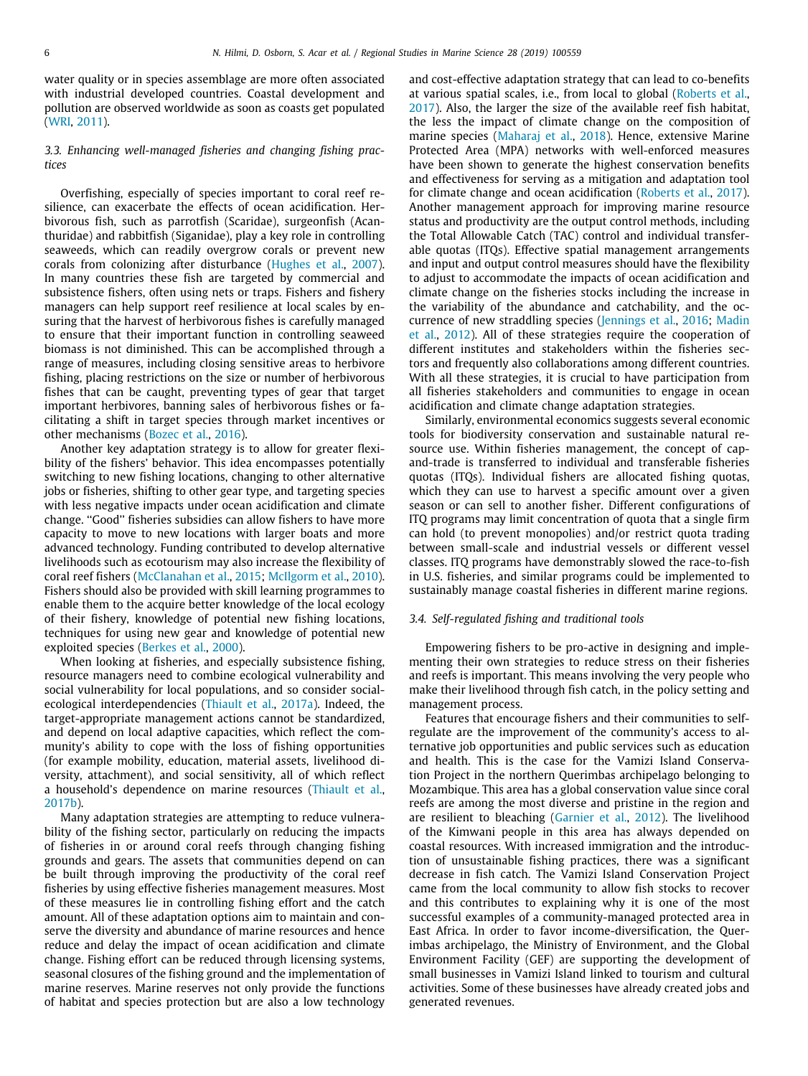water quality or in species assemblage are more often associated with industrial developed countries. Coastal development and pollution are observed worldwide as soon as coasts get populated ([WRI](#page-9-11), [2011](#page-9-11)).

# <span id="page-5-0"></span>*3.3. Enhancing well-managed fisheries and changing fishing practices*

Overfishing, especially of species important to coral reef resilience, can exacerbate the effects of ocean acidification. Herbivorous fish, such as parrotfish (Scaridae), surgeonfish (Acanthuridae) and rabbitfish (Siganidae), play a key role in controlling seaweeds, which can readily overgrow corals or prevent new corals from colonizing after disturbance [\(Hughes et al.](#page-8-25), [2007\)](#page-8-25). In many countries these fish are targeted by commercial and subsistence fishers, often using nets or traps. Fishers and fishery managers can help support reef resilience at local scales by ensuring that the harvest of herbivorous fishes is carefully managed to ensure that their important function in controlling seaweed biomass is not diminished. This can be accomplished through a range of measures, including closing sensitive areas to herbivore fishing, placing restrictions on the size or number of herbivorous fishes that can be caught, preventing types of gear that target important herbivores, banning sales of herbivorous fishes or facilitating a shift in target species through market incentives or other mechanisms ([Bozec et al.,](#page-8-26) [2016\)](#page-8-26).

Another key adaptation strategy is to allow for greater flexibility of the fishers' behavior. This idea encompasses potentially switching to new fishing locations, changing to other alternative jobs or fisheries, shifting to other gear type, and targeting species with less negative impacts under ocean acidification and climate change. ''Good'' fisheries subsidies can allow fishers to have more capacity to move to new locations with larger boats and more advanced technology. Funding contributed to develop alternative livelihoods such as ecotourism may also increase the flexibility of coral reef fishers ([McClanahan et al.](#page-8-27), [2015;](#page-8-27) [McIlgorm et al.](#page-9-12), [2010\)](#page-9-12). Fishers should also be provided with skill learning programmes to enable them to the acquire better knowledge of the local ecology of their fishery, knowledge of potential new fishing locations, techniques for using new gear and knowledge of potential new exploited species ([Berkes et al.,](#page-8-28) [2000\)](#page-8-28).

When looking at fisheries, and especially subsistence fishing, resource managers need to combine ecological vulnerability and social vulnerability for local populations, and so consider socialecological interdependencies ([Thiault et al.,](#page-9-13) [2017a](#page-9-13)). Indeed, the target-appropriate management actions cannot be standardized, and depend on local adaptive capacities, which reflect the community's ability to cope with the loss of fishing opportunities (for example mobility, education, material assets, livelihood diversity, attachment), and social sensitivity, all of which reflect a household's dependence on marine resources [\(Thiault et al.,](#page-9-14) [2017b\)](#page-9-14).

Many adaptation strategies are attempting to reduce vulnerability of the fishing sector, particularly on reducing the impacts of fisheries in or around coral reefs through changing fishing grounds and gears. The assets that communities depend on can be built through improving the productivity of the coral reef fisheries by using effective fisheries management measures. Most of these measures lie in controlling fishing effort and the catch amount. All of these adaptation options aim to maintain and conserve the diversity and abundance of marine resources and hence reduce and delay the impact of ocean acidification and climate change. Fishing effort can be reduced through licensing systems, seasonal closures of the fishing ground and the implementation of marine reserves. Marine reserves not only provide the functions of habitat and species protection but are also a low technology and cost-effective adaptation strategy that can lead to co-benefits at various spatial scales, i.e., from local to global [\(Roberts et al.,](#page-9-15) [2017\)](#page-9-15). Also, the larger the size of the available reef fish habitat, the less the impact of climate change on the composition of marine species ([Maharaj et al.](#page-8-29), [2018\)](#page-8-29). Hence, extensive Marine Protected Area (MPA) networks with well-enforced measures have been shown to generate the highest conservation benefits and effectiveness for serving as a mitigation and adaptation tool for climate change and ocean acidification [\(Roberts et al.,](#page-9-15) [2017\)](#page-9-15). Another management approach for improving marine resource status and productivity are the output control methods, including the Total Allowable Catch (TAC) control and individual transferable quotas (ITQs). Effective spatial management arrangements and input and output control measures should have the flexibility to adjust to accommodate the impacts of ocean acidification and climate change on the fisheries stocks including the increase in the variability of the abundance and catchability, and the occurrence of new straddling species [\(Jennings et al.](#page-8-30), [2016](#page-8-30); [Madin](#page-8-31) [et al.,](#page-8-31) [2012\)](#page-8-31). All of these strategies require the cooperation of different institutes and stakeholders within the fisheries sectors and frequently also collaborations among different countries. With all these strategies, it is crucial to have participation from all fisheries stakeholders and communities to engage in ocean acidification and climate change adaptation strategies.

Similarly, environmental economics suggests several economic tools for biodiversity conservation and sustainable natural resource use. Within fisheries management, the concept of capand-trade is transferred to individual and transferable fisheries quotas (ITQs). Individual fishers are allocated fishing quotas, which they can use to harvest a specific amount over a given season or can sell to another fisher. Different configurations of ITQ programs may limit concentration of quota that a single firm can hold (to prevent monopolies) and/or restrict quota trading between small-scale and industrial vessels or different vessel classes. ITQ programs have demonstrably slowed the race-to-fish in U.S. fisheries, and similar programs could be implemented to sustainably manage coastal fisheries in different marine regions.

#### <span id="page-5-1"></span>*3.4. Self-regulated fishing and traditional tools*

Empowering fishers to be pro-active in designing and implementing their own strategies to reduce stress on their fisheries and reefs is important. This means involving the very people who make their livelihood through fish catch, in the policy setting and management process.

Features that encourage fishers and their communities to selfregulate are the improvement of the community's access to alternative job opportunities and public services such as education and health. This is the case for the Vamizi Island Conservation Project in the northern Querimbas archipelago belonging to Mozambique. This area has a global conservation value since coral reefs are among the most diverse and pristine in the region and are resilient to bleaching [\(Garnier et al.](#page-8-32), [2012](#page-8-32)). The livelihood of the Kimwani people in this area has always depended on coastal resources. With increased immigration and the introduction of unsustainable fishing practices, there was a significant decrease in fish catch. The Vamizi Island Conservation Project came from the local community to allow fish stocks to recover and this contributes to explaining why it is one of the most successful examples of a community-managed protected area in East Africa. In order to favor income-diversification, the Querimbas archipelago, the Ministry of Environment, and the Global Environment Facility (GEF) are supporting the development of small businesses in Vamizi Island linked to tourism and cultural activities. Some of these businesses have already created jobs and generated revenues.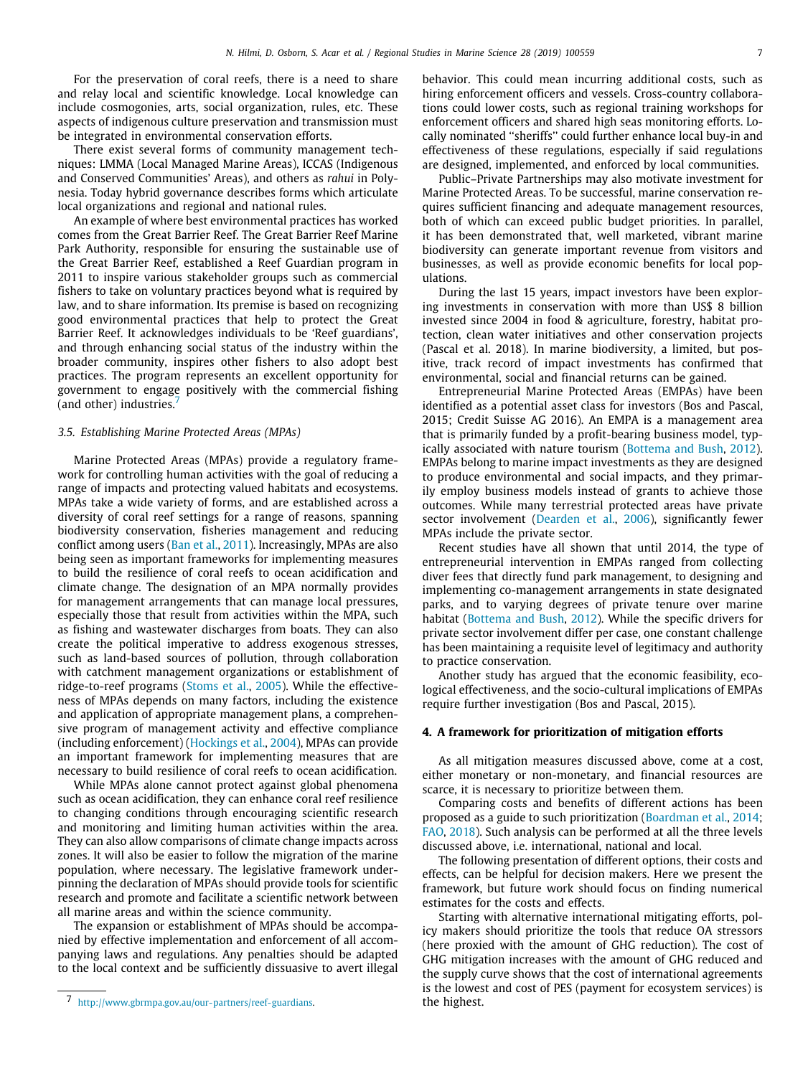For the preservation of coral reefs, there is a need to share and relay local and scientific knowledge. Local knowledge can include cosmogonies, arts, social organization, rules, etc. These aspects of indigenous culture preservation and transmission must be integrated in environmental conservation efforts.

There exist several forms of community management techniques: LMMA (Local Managed Marine Areas), ICCAS (Indigenous and Conserved Communities' Areas), and others as *rahui* in Polynesia. Today hybrid governance describes forms which articulate local organizations and regional and national rules.

An example of where best environmental practices has worked comes from the Great Barrier Reef. The Great Barrier Reef Marine Park Authority, responsible for ensuring the sustainable use of the Great Barrier Reef, established a Reef Guardian program in 2011 to inspire various stakeholder groups such as commercial fishers to take on voluntary practices beyond what is required by law, and to share information. Its premise is based on recognizing good environmental practices that help to protect the Great Barrier Reef. It acknowledges individuals to be 'Reef guardians', and through enhancing social status of the industry within the broader community, inspires other fishers to also adopt best practices. The program represents an excellent opportunity for government to engage positively with the commercial fishing (and other) industries.

# <span id="page-6-0"></span>*3.5. Establishing Marine Protected Areas (MPAs)*

Marine Protected Areas (MPAs) provide a regulatory framework for controlling human activities with the goal of reducing a range of impacts and protecting valued habitats and ecosystems. MPAs take a wide variety of forms, and are established across a diversity of coral reef settings for a range of reasons, spanning biodiversity conservation, fisheries management and reducing conflict among users [\(Ban et al.,](#page-8-33) [2011\)](#page-8-33). Increasingly, MPAs are also being seen as important frameworks for implementing measures to build the resilience of coral reefs to ocean acidification and climate change. The designation of an MPA normally provides for management arrangements that can manage local pressures, especially those that result from activities within the MPA, such as fishing and wastewater discharges from boats. They can also create the political imperative to address exogenous stresses, such as land-based sources of pollution, through collaboration with catchment management organizations or establishment of ridge-to-reef programs ([Stoms et al.](#page-9-16), [2005\)](#page-9-16). While the effectiveness of MPAs depends on many factors, including the existence and application of appropriate management plans, a comprehensive program of management activity and effective compliance (including enforcement) [\(Hockings et al.](#page-8-34), [2004\)](#page-8-34), MPAs can provide an important framework for implementing measures that are necessary to build resilience of coral reefs to ocean acidification.

While MPAs alone cannot protect against global phenomena such as ocean acidification, they can enhance coral reef resilience to changing conditions through encouraging scientific research and monitoring and limiting human activities within the area. They can also allow comparisons of climate change impacts across zones. It will also be easier to follow the migration of the marine population, where necessary. The legislative framework underpinning the declaration of MPAs should provide tools for scientific research and promote and facilitate a scientific network between all marine areas and within the science community.

The expansion or establishment of MPAs should be accompanied by effective implementation and enforcement of all accompanying laws and regulations. Any penalties should be adapted to the local context and be sufficiently dissuasive to avert illegal behavior. This could mean incurring additional costs, such as hiring enforcement officers and vessels. Cross-country collaborations could lower costs, such as regional training workshops for enforcement officers and shared high seas monitoring efforts. Locally nominated ''sheriffs'' could further enhance local buy-in and effectiveness of these regulations, especially if said regulations are designed, implemented, and enforced by local communities.

Public–Private Partnerships may also motivate investment for Marine Protected Areas. To be successful, marine conservation requires sufficient financing and adequate management resources, both of which can exceed public budget priorities. In parallel, it has been demonstrated that, well marketed, vibrant marine biodiversity can generate important revenue from visitors and businesses, as well as provide economic benefits for local populations.

During the last 15 years, impact investors have been exploring investments in conservation with more than US\$ 8 billion invested since 2004 in food & agriculture, forestry, habitat protection, clean water initiatives and other conservation projects (Pascal et al. 2018). In marine biodiversity, a limited, but positive, track record of impact investments has confirmed that environmental, social and financial returns can be gained.

Entrepreneurial Marine Protected Areas (EMPAs) have been identified as a potential asset class for investors (Bos and Pascal, 2015; Credit Suisse AG 2016). An EMPA is a management area that is primarily funded by a profit-bearing business model, typically associated with nature tourism [\(Bottema and Bush](#page-8-35), [2012\)](#page-8-35). EMPAs belong to marine impact investments as they are designed to produce environmental and social impacts, and they primarily employ business models instead of grants to achieve those outcomes. While many terrestrial protected areas have private sector involvement [\(Dearden et al.](#page-8-36), [2006](#page-8-36)), significantly fewer MPAs include the private sector.

Recent studies have all shown that until 2014, the type of entrepreneurial intervention in EMPAs ranged from collecting diver fees that directly fund park management, to designing and implementing co-management arrangements in state designated parks, and to varying degrees of private tenure over marine habitat ([Bottema and Bush](#page-8-35), [2012](#page-8-35)). While the specific drivers for private sector involvement differ per case, one constant challenge has been maintaining a requisite level of legitimacy and authority to practice conservation.

Another study has argued that the economic feasibility, ecological effectiveness, and the socio-cultural implications of EMPAs require further investigation (Bos and Pascal, 2015).

## <span id="page-6-1"></span>**4. A framework for prioritization of mitigation efforts**

As all mitigation measures discussed above, come at a cost, either monetary or non-monetary, and financial resources are scarce, it is necessary to prioritize between them.

Comparing costs and benefits of different actions has been proposed as a guide to such prioritization [\(Boardman et al.](#page-8-37), [2014;](#page-8-37) [FAO](#page-8-38), [2018\)](#page-8-38). Such analysis can be performed at all the three levels discussed above, i.e. international, national and local.

The following presentation of different options, their costs and effects, can be helpful for decision makers. Here we present the framework, but future work should focus on finding numerical estimates for the costs and effects.

Starting with alternative international mitigating efforts, policy makers should prioritize the tools that reduce OA stressors (here proxied with the amount of GHG reduction). The cost of GHG mitigation increases with the amount of GHG reduced and the supply curve shows that the cost of international agreements is the lowest and cost of PES (payment for ecosystem services) is the highest.

<span id="page-6-2"></span><sup>7</sup> [http://www.gbrmpa.gov.au/our-partners/reef-guardians.](http://www.gbrmpa.gov.au/our-partners/reef-guardians)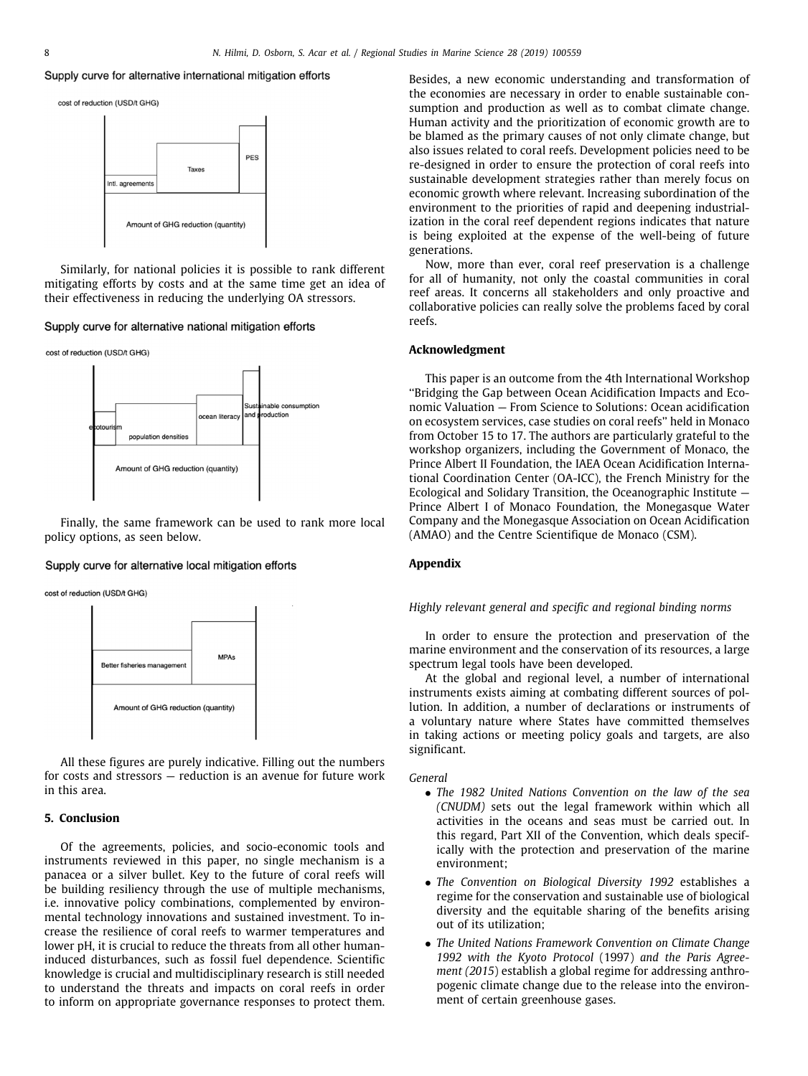## Supply curve for alternative international mitigation efforts



Similarly, for national policies it is possible to rank different mitigating efforts by costs and at the same time get an idea of their effectiveness in reducing the underlying OA stressors.

#### Supply curve for alternative national mitigation efforts

cost of reduction (USD/t GHG)



Finally, the same framework can be used to rank more local policy options, as seen below.

## Supply curve for alternative local mitigation efforts

cost of reduction (USD/t GHG)



All these figures are purely indicative. Filling out the numbers for costs and stressors — reduction is an avenue for future work in this area.

## <span id="page-7-0"></span>**5. Conclusion**

Of the agreements, policies, and socio-economic tools and instruments reviewed in this paper, no single mechanism is a panacea or a silver bullet. Key to the future of coral reefs will be building resiliency through the use of multiple mechanisms, i.e. innovative policy combinations, complemented by environmental technology innovations and sustained investment. To increase the resilience of coral reefs to warmer temperatures and lower pH, it is crucial to reduce the threats from all other humaninduced disturbances, such as fossil fuel dependence. Scientific knowledge is crucial and multidisciplinary research is still needed to understand the threats and impacts on coral reefs in order to inform on appropriate governance responses to protect them. Besides, a new economic understanding and transformation of the economies are necessary in order to enable sustainable consumption and production as well as to combat climate change. Human activity and the prioritization of economic growth are to be blamed as the primary causes of not only climate change, but also issues related to coral reefs. Development policies need to be re-designed in order to ensure the protection of coral reefs into sustainable development strategies rather than merely focus on economic growth where relevant. Increasing subordination of the environment to the priorities of rapid and deepening industrialization in the coral reef dependent regions indicates that nature is being exploited at the expense of the well-being of future generations.

Now, more than ever, coral reef preservation is a challenge for all of humanity, not only the coastal communities in coral reef areas. It concerns all stakeholders and only proactive and collaborative policies can really solve the problems faced by coral reefs.

# <span id="page-7-1"></span>**Acknowledgment**

This paper is an outcome from the 4th International Workshop ''Bridging the Gap between Ocean Acidification Impacts and Economic Valuation — From Science to Solutions: Ocean acidification on ecosystem services, case studies on coral reefs'' held in Monaco from October 15 to 17. The authors are particularly grateful to the workshop organizers, including the Government of Monaco, the Prince Albert II Foundation, the IAEA Ocean Acidification International Coordination Center (OA-ICC), the French Ministry for the Ecological and Solidary Transition, the Oceanographic Institute — Prince Albert I of Monaco Foundation, the Monegasque Water Company and the Monegasque Association on Ocean Acidification (AMAO) and the Centre Scientifique de Monaco (CSM).

## <span id="page-7-2"></span>**Appendix**

#### <span id="page-7-3"></span>*Highly relevant general and specific and regional binding norms*

In order to ensure the protection and preservation of the marine environment and the conservation of its resources, a large spectrum legal tools have been developed.

At the global and regional level, a number of international instruments exists aiming at combating different sources of pollution. In addition, a number of declarations or instruments of a voluntary nature where States have committed themselves in taking actions or meeting policy goals and targets, are also significant.

*General*

- *The 1982 United Nations Convention on the law of the sea (CNUDM)* sets out the legal framework within which all activities in the oceans and seas must be carried out. In this regard, Part XII of the Convention, which deals specifically with the protection and preservation of the marine environment;
- *The Convention on Biological Diversity 1992* establishes a regime for the conservation and sustainable use of biological diversity and the equitable sharing of the benefits arising out of its utilization;
- *The United Nations Framework Convention on Climate Change 1992 with the Kyoto Protocol* (1997) *and the Paris Agreement (2015*) establish a global regime for addressing anthropogenic climate change due to the release into the environment of certain greenhouse gases.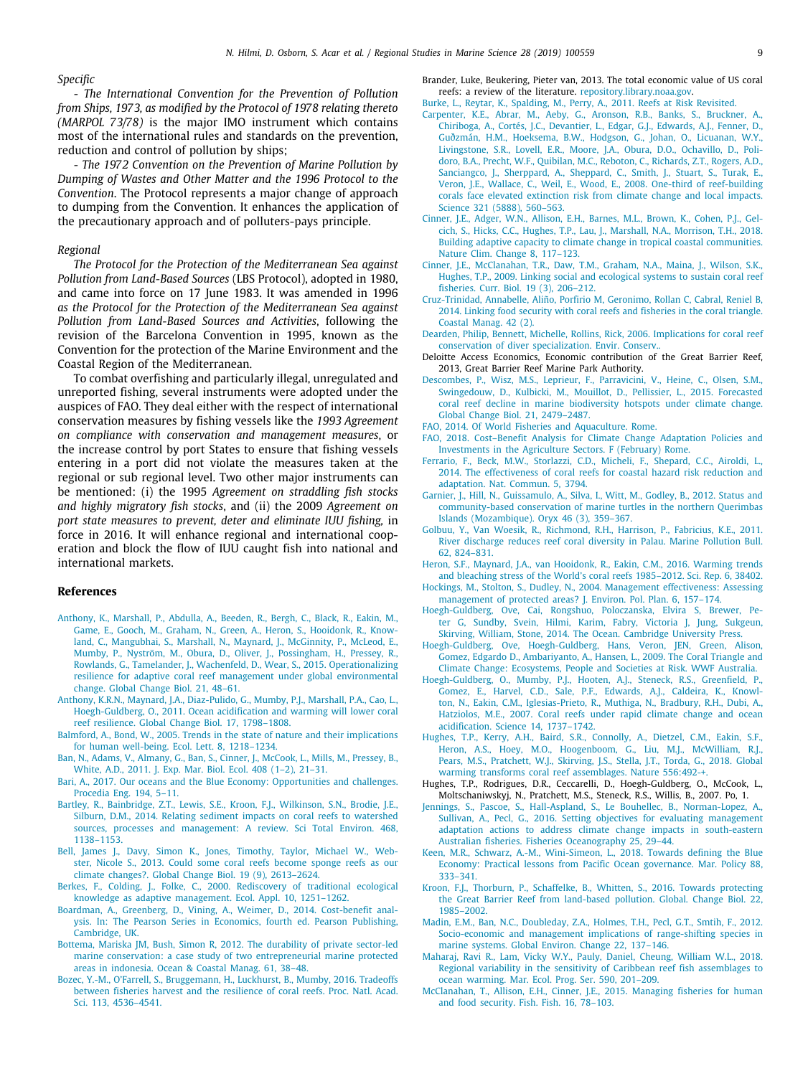*Specific*

*- The International Convention for the Prevention of Pollution from Ships, 1973, as modified by the Protocol of 1978 relating thereto (MARPOL 73/78)* is the major IMO instrument which contains most of the international rules and standards on the prevention, reduction and control of pollution by ships;

*- The 1972 Convention on the Prevention of Marine Pollution by Dumping of Wastes and Other Matter and the 1996 Protocol to the Convention*. The Protocol represents a major change of approach to dumping from the Convention. It enhances the application of the precautionary approach and of polluters-pays principle.

#### *Regional*

*The Protocol for the Protection of the Mediterranean Sea against Pollution from Land-Based Sources* (LBS Protocol), adopted in 1980, and came into force on 17 June 1983. It was amended in 1996 *as the Protocol for the Protection of the Mediterranean Sea against Pollution from Land-Based Sources and Activities*, following the revision of the Barcelona Convention in 1995, known as the Convention for the protection of the Marine Environment and the Coastal Region of the Mediterranean.

To combat overfishing and particularly illegal, unregulated and unreported fishing, several instruments were adopted under the auspices of FAO. They deal either with the respect of international conservation measures by fishing vessels like the *1993 Agreement on compliance with conservation and management measures*, or the increase control by port States to ensure that fishing vessels entering in a port did not violate the measures taken at the regional or sub regional level. Two other major instruments can be mentioned: (i) the 1995 *Agreement on straddling fish stocks and highly migratory fish stocks*, and (ii) the 2009 *Agreement on port state measures to prevent, deter and eliminate IUU fishing,* in force in 2016. It will enhance regional and international cooperation and block the flow of IUU caught fish into national and international markets.

#### <span id="page-8-0"></span>**References**

- <span id="page-8-5"></span>[Anthony, K., Marshall, P., Abdulla, A., Beeden, R., Bergh, C., Black, R., Eakin, M.,](http://refhub.elsevier.com/S2352-4855(18)30599-1/sb1) [Game, E., Gooch, M., Graham, N., Green, A., Heron, S., Hooidonk, R., Know](http://refhub.elsevier.com/S2352-4855(18)30599-1/sb1)[land, C., Mangubhai, S., Marshall, N., Maynard, J., McGinnity, P., McLeod, E.,](http://refhub.elsevier.com/S2352-4855(18)30599-1/sb1) [Mumby, P., Nyström, M., Obura, D., Oliver, J., Possingham, H., Pressey, R.,](http://refhub.elsevier.com/S2352-4855(18)30599-1/sb1) [Rowlands, G., Tamelander, J., Wachenfeld, D., Wear, S., 2015. Operationalizing](http://refhub.elsevier.com/S2352-4855(18)30599-1/sb1) [resilience for adaptive coral reef management under global environmental](http://refhub.elsevier.com/S2352-4855(18)30599-1/sb1) [change. Global Change Biol. 21, 48–61.](http://refhub.elsevier.com/S2352-4855(18)30599-1/sb1)
- <span id="page-8-4"></span>[Anthony, K.R.N., Maynard, J.A., Diaz-Pulido, G., Mumby, P.J., Marshall, P.A., Cao, L.,](http://refhub.elsevier.com/S2352-4855(18)30599-1/sb2) [Hoegh-Guldberg, O., 2011. Ocean acidification and warming will lower coral](http://refhub.elsevier.com/S2352-4855(18)30599-1/sb2) [reef resilience. Global Change Biol. 17, 1798–1808.](http://refhub.elsevier.com/S2352-4855(18)30599-1/sb2)
- <span id="page-8-20"></span>[Balmford, A., Bond, W., 2005. Trends in the state of nature and their implications](http://refhub.elsevier.com/S2352-4855(18)30599-1/sb3) [for human well-being. Ecol. Lett. 8, 1218–1234.](http://refhub.elsevier.com/S2352-4855(18)30599-1/sb3)
- <span id="page-8-33"></span>[Ban, N., Adams, V., Almany, G., Ban, S., Cinner, J., McCook, L., Mills, M., Pressey, B.,](http://refhub.elsevier.com/S2352-4855(18)30599-1/sb4) [White, A.D., 2011. J. Exp. Mar. Biol. Ecol. 408 \(1–2\), 21–31.](http://refhub.elsevier.com/S2352-4855(18)30599-1/sb4)
- <span id="page-8-12"></span>[Bari, A., 2017. Our oceans and the Blue Economy: Opportunities and challenges.](http://refhub.elsevier.com/S2352-4855(18)30599-1/sb5) [Procedia Eng. 194, 5–11.](http://refhub.elsevier.com/S2352-4855(18)30599-1/sb5)
- <span id="page-8-23"></span>[Bartley, R., Bainbridge, Z.T., Lewis, S.E., Kroon, F.J., Wilkinson, S.N., Brodie, J.E.,](http://refhub.elsevier.com/S2352-4855(18)30599-1/sb6) [Silburn, D.M., 2014. Relating sediment impacts on coral reefs to watershed](http://refhub.elsevier.com/S2352-4855(18)30599-1/sb6) [sources, processes and management: A review. Sci Total Environ. 468,](http://refhub.elsevier.com/S2352-4855(18)30599-1/sb6) [1138–1153.](http://refhub.elsevier.com/S2352-4855(18)30599-1/sb6)
- <span id="page-8-15"></span>[Bell, James J., Davy, Simon K., Jones, Timothy, Taylor, Michael W., Web](http://refhub.elsevier.com/S2352-4855(18)30599-1/sb7)[ster, Nicole S., 2013. Could some coral reefs become sponge reefs as our](http://refhub.elsevier.com/S2352-4855(18)30599-1/sb7) [climate changes?. Global Change Biol. 19 \(9\), 2613–2624.](http://refhub.elsevier.com/S2352-4855(18)30599-1/sb7)
- <span id="page-8-28"></span>[Berkes, F., Colding, J., Folke, C., 2000. Rediscovery of traditional ecological](http://refhub.elsevier.com/S2352-4855(18)30599-1/sb8) [knowledge as adaptive management. Ecol. Appl. 10, 1251–1262.](http://refhub.elsevier.com/S2352-4855(18)30599-1/sb8)
- <span id="page-8-37"></span>[Boardman, A., Greenberg, D., Vining, A., Weimer, D., 2014. Cost-benefit anal](http://refhub.elsevier.com/S2352-4855(18)30599-1/sb9)[ysis. In: The Pearson Series in Economics, fourth ed. Pearson Publishing,](http://refhub.elsevier.com/S2352-4855(18)30599-1/sb9) [Cambridge, UK.](http://refhub.elsevier.com/S2352-4855(18)30599-1/sb9)
- <span id="page-8-35"></span>[Bottema, Mariska JM, Bush, Simon R, 2012. The durability of private sector-led](http://refhub.elsevier.com/S2352-4855(18)30599-1/sb10) [marine conservation: a case study of two entrepreneurial marine protected](http://refhub.elsevier.com/S2352-4855(18)30599-1/sb10) [areas in indonesia. Ocean & Coastal Manag. 61, 38–48.](http://refhub.elsevier.com/S2352-4855(18)30599-1/sb10)
- <span id="page-8-26"></span>[Bozec, Y.-M., O'Farrell, S., Bruggemann, H., Luckhurst, B., Mumby, 2016. Tradeoffs](http://refhub.elsevier.com/S2352-4855(18)30599-1/sb11) [between fisheries harvest and the resilience of coral reefs. Proc. Natl. Acad.](http://refhub.elsevier.com/S2352-4855(18)30599-1/sb11) [Sci. 113, 4536–4541.](http://refhub.elsevier.com/S2352-4855(18)30599-1/sb11)
- <span id="page-8-16"></span>Brander, Luke, Beukering, Pieter van, 2013. The total economic value of US coral reefs: a review of the literature. [repository.library.noaa.gov.](https://repository.library.noaa.gov)
- <span id="page-8-13"></span>[Burke, L., Reytar, K., Spalding, M., Perry, A., 2011. Reefs at Risk Revisited.](http://refhub.elsevier.com/S2352-4855(18)30599-1/sb13)
- <span id="page-8-7"></span>[Carpenter, K.E., Abrar, M., Aeby, G., Aronson, R.B., Banks, S., Bruckner, A.,](http://refhub.elsevier.com/S2352-4855(18)30599-1/sb14) [Chiriboga, A., Cortés, J.C., Devantier, L., Edgar, G.J., Edwards, A.J., Fenner, D.,](http://refhub.elsevier.com/S2352-4855(18)30599-1/sb14) [Guðzmán, H.M., Hoeksema, B.W., Hodgson, G., Johan, O., Licuanan, W.Y.,](http://refhub.elsevier.com/S2352-4855(18)30599-1/sb14) [Livingstone, S.R., Lovell, E.R., Moore, J.A., Obura, D.O., Ochavillo, D., Poli](http://refhub.elsevier.com/S2352-4855(18)30599-1/sb14)[doro, B.A., Precht, W.F., Quibilan, M.C., Reboton, C., Richards, Z.T., Rogers, A.D.,](http://refhub.elsevier.com/S2352-4855(18)30599-1/sb14) [Sanciangco, J., Sherppard, A., Sheppard, C., Smith, J., Stuart, S., Turak, E.,](http://refhub.elsevier.com/S2352-4855(18)30599-1/sb14) [Veron, J.E., Wallace, C., Weil, E., Wood, E., 2008. One-third of reef-building](http://refhub.elsevier.com/S2352-4855(18)30599-1/sb14) [corals face elevated extinction risk from climate change and local impacts.](http://refhub.elsevier.com/S2352-4855(18)30599-1/sb14) [Science 321 \(5888\), 560–563.](http://refhub.elsevier.com/S2352-4855(18)30599-1/sb14)
- <span id="page-8-21"></span>[Cinner, J.E., Adger, W.N., Allison, E.H., Barnes, M.L., Brown, K., Cohen, P.J., Gel](http://refhub.elsevier.com/S2352-4855(18)30599-1/sb15)[cich, S., Hicks, C.C., Hughes, T.P., Lau, J., Marshall, N.A., Morrison, T.H., 2018.](http://refhub.elsevier.com/S2352-4855(18)30599-1/sb15) [Building adaptive capacity to climate change in tropical coastal communities.](http://refhub.elsevier.com/S2352-4855(18)30599-1/sb15) [Nature Clim. Change 8, 117–123.](http://refhub.elsevier.com/S2352-4855(18)30599-1/sb15)
- <span id="page-8-9"></span>[Cinner, J.E., McClanahan, T.R., Daw, T.M., Graham, N.A., Maina, J., Wilson, S.K.,](http://refhub.elsevier.com/S2352-4855(18)30599-1/sb16) [Hughes, T.P., 2009. Linking social and ecological systems to sustain coral reef](http://refhub.elsevier.com/S2352-4855(18)30599-1/sb16) [fisheries. Curr. Biol. 19 \(3\), 206–212.](http://refhub.elsevier.com/S2352-4855(18)30599-1/sb16)
- <span id="page-8-17"></span>[Cruz-Trinidad, Annabelle, Aliño, Porfirio M, Geronimo, Rollan C, Cabral, Reniel B,](http://refhub.elsevier.com/S2352-4855(18)30599-1/sb17) [2014. Linking food security with coral reefs and fisheries in the coral triangle.](http://refhub.elsevier.com/S2352-4855(18)30599-1/sb17) [Coastal Manag. 42 \(2\).](http://refhub.elsevier.com/S2352-4855(18)30599-1/sb17)
- <span id="page-8-36"></span>[Dearden, Philip, Bennett, Michelle, Rollins, Rick, 2006. Implications for coral reef](http://refhub.elsevier.com/S2352-4855(18)30599-1/sb18) [conservation of diver specialization. Envir. Conserv..](http://refhub.elsevier.com/S2352-4855(18)30599-1/sb18)
- <span id="page-8-18"></span>Deloitte Access Economics, Economic contribution of the Great Barrier Reef, 2013, Great Barrier Reef Marine Park Authority.
- <span id="page-8-2"></span>[Descombes, P., Wisz, M.S., Leprieur, F., Parravicini, V., Heine, C., Olsen, S.M.,](http://refhub.elsevier.com/S2352-4855(18)30599-1/sb20) [Swingedouw, D., Kulbicki, M., Mouillot, D., Pellissier, L., 2015. Forecasted](http://refhub.elsevier.com/S2352-4855(18)30599-1/sb20) [coral reef decline in marine biodiversity hotspots under climate change.](http://refhub.elsevier.com/S2352-4855(18)30599-1/sb20) [Global Change Biol. 21, 2479–2487.](http://refhub.elsevier.com/S2352-4855(18)30599-1/sb20)
- <span id="page-8-10"></span>[FAO, 2014. Of World Fisheries and Aquaculture. Rome.](http://refhub.elsevier.com/S2352-4855(18)30599-1/sb21)
- <span id="page-8-38"></span>[FAO, 2018. Cost–Benefit Analysis for Climate Change Adaptation Policies and](http://refhub.elsevier.com/S2352-4855(18)30599-1/sb22) [Investments in the Agriculture Sectors. F \(February\) Rome.](http://refhub.elsevier.com/S2352-4855(18)30599-1/sb22)
- <span id="page-8-14"></span>[Ferrario, F., Beck, M.W., Storlazzi, C.D., Micheli, F., Shepard, C.C., Airoldi, L.,](http://refhub.elsevier.com/S2352-4855(18)30599-1/sb23) [2014. The effectiveness of coral reefs for coastal hazard risk reduction and](http://refhub.elsevier.com/S2352-4855(18)30599-1/sb23) [adaptation. Nat. Commun. 5, 3794.](http://refhub.elsevier.com/S2352-4855(18)30599-1/sb23)
- <span id="page-8-32"></span>[Garnier, J., Hill, N., Guissamulo, A., Silva, I., Witt, M., Godley, B., 2012. Status and](http://refhub.elsevier.com/S2352-4855(18)30599-1/sb24) [community-based conservation of marine turtles in the northern Querimbas](http://refhub.elsevier.com/S2352-4855(18)30599-1/sb24) [Islands \(Mozambique\). Oryx 46 \(3\), 359–367.](http://refhub.elsevier.com/S2352-4855(18)30599-1/sb24)
- <span id="page-8-22"></span>[Golbuu, Y., Van Woesik, R., Richmond, R.H., Harrison, P., Fabricius, K.E., 2011.](http://refhub.elsevier.com/S2352-4855(18)30599-1/sb25) [River discharge reduces reef coral diversity in Palau. Marine Pollution Bull.](http://refhub.elsevier.com/S2352-4855(18)30599-1/sb25) [62, 824–831.](http://refhub.elsevier.com/S2352-4855(18)30599-1/sb25)
- <span id="page-8-8"></span>[Heron, S.F., Maynard, J.A., van Hooidonk, R., Eakin, C.M., 2016. Warming trends](http://refhub.elsevier.com/S2352-4855(18)30599-1/sb26) [and bleaching stress of the World's coral reefs 1985–2012. Sci. Rep. 6, 38402.](http://refhub.elsevier.com/S2352-4855(18)30599-1/sb26)
- <span id="page-8-34"></span>[Hockings, M., Stolton, S., Dudley, N., 2004. Management effectiveness: Assessing](http://refhub.elsevier.com/S2352-4855(18)30599-1/sb27) [management of protected areas? J. Environ. Pol. Plan. 6, 157–174.](http://refhub.elsevier.com/S2352-4855(18)30599-1/sb27)
- <span id="page-8-19"></span>[Hoegh-Guldberg, Ove, Cai, Rongshuo, Poloczanska, Elvira S, Brewer, Pe](http://refhub.elsevier.com/S2352-4855(18)30599-1/sb28)[ter G, Sundby, Svein, Hilmi, Karim, Fabry, Victoria J, Jung, Sukgeun,](http://refhub.elsevier.com/S2352-4855(18)30599-1/sb28) [Skirving, William, Stone, 2014. The Ocean. Cambridge University Press.](http://refhub.elsevier.com/S2352-4855(18)30599-1/sb28)
- <span id="page-8-1"></span>[Hoegh-Guldberg, Ove, Hoegh-Guldberg, Hans, Veron, JEN, Green, Alison,](http://refhub.elsevier.com/S2352-4855(18)30599-1/sb29) [Gomez, Edgardo D., Ambariyanto, A., Hansen, L., 2009. The Coral Triangle and](http://refhub.elsevier.com/S2352-4855(18)30599-1/sb29) [Climate Change: Ecosystems, People and Societies at Risk. WWF Australia.](http://refhub.elsevier.com/S2352-4855(18)30599-1/sb29)
- <span id="page-8-6"></span>[Hoegh-Guldberg, O., Mumby, P.J., Hooten, A.J., Steneck, R.S., Greenfield, P.,](http://refhub.elsevier.com/S2352-4855(18)30599-1/sb30) [Gomez, E., Harvel, C.D., Sale, P.F., Edwards, A.J., Caldeira, K., Knowl](http://refhub.elsevier.com/S2352-4855(18)30599-1/sb30)[ton, N., Eakin, C.M., Iglesias-Prieto, R., Muthiga, N., Bradbury, R.H., Dubi, A.,](http://refhub.elsevier.com/S2352-4855(18)30599-1/sb30) [Hatziolos, M.E., 2007. Coral reefs under rapid climate change and ocean](http://refhub.elsevier.com/S2352-4855(18)30599-1/sb30) [acidification. Science 14, 1737–1742.](http://refhub.elsevier.com/S2352-4855(18)30599-1/sb30)
- <span id="page-8-3"></span>[Hughes, T.P., Kerry, A.H., Baird, S.R., Connolly, A., Dietzel, C.M., Eakin, S.F.,](http://refhub.elsevier.com/S2352-4855(18)30599-1/sb31) [Heron, A.S., Hoey, M.O., Hoogenboom, G., Liu, M.J., McWilliam, R.J.,](http://refhub.elsevier.com/S2352-4855(18)30599-1/sb31) [Pears, M.S., Pratchett, W.J., Skirving, J.S., Stella, J.T., Torda, G., 2018. Global](http://refhub.elsevier.com/S2352-4855(18)30599-1/sb31) [warming transforms coral reef assemblages. Nature 556:492-+.](http://refhub.elsevier.com/S2352-4855(18)30599-1/sb31)
- <span id="page-8-25"></span>Hughes, T.P., Rodrigues, D.R., Ceccarelli, D., Hoegh-Guldberg, O., McCook, L., Moltschaniwskyj, N., Pratchett, M.S., Steneck, R.S., Willis, B., 2007. Po, 1.
- <span id="page-8-30"></span>[Jennings, S., Pascoe, S., Hall-Aspland, S., Le Bouhellec, B., Norman-Lopez, A.,](http://refhub.elsevier.com/S2352-4855(18)30599-1/sb33) [Sullivan, A., Pecl, G., 2016. Setting objectives for evaluating management](http://refhub.elsevier.com/S2352-4855(18)30599-1/sb33) [adaptation actions to address climate change impacts in south-eastern](http://refhub.elsevier.com/S2352-4855(18)30599-1/sb33) [Australian fisheries. Fisheries Oceanography 25, 29–44.](http://refhub.elsevier.com/S2352-4855(18)30599-1/sb33)
- <span id="page-8-11"></span>[Keen, M.R., Schwarz, A.-M., Wini-Simeon, L., 2018. Towards defining the Blue](http://refhub.elsevier.com/S2352-4855(18)30599-1/sb34) [Economy: Practical lessons from Pacific Ocean governance. Mar. Policy 88,](http://refhub.elsevier.com/S2352-4855(18)30599-1/sb34) [333–341.](http://refhub.elsevier.com/S2352-4855(18)30599-1/sb34)
- <span id="page-8-24"></span>[Kroon, F.J., Thorburn, P., Schaffelke, B., Whitten, S., 2016. Towards protecting](http://refhub.elsevier.com/S2352-4855(18)30599-1/sb35) [the Great Barrier Reef from land-based pollution. Global. Change Biol. 22,](http://refhub.elsevier.com/S2352-4855(18)30599-1/sb35) [1985–2002.](http://refhub.elsevier.com/S2352-4855(18)30599-1/sb35)
- <span id="page-8-31"></span>[Madin, E.M., Ban, N.C., Doubleday, Z.A., Holmes, T.H., Pecl, G.T., Smtih, F., 2012.](http://refhub.elsevier.com/S2352-4855(18)30599-1/sb36) [Socio-economic and management implications of range-shifting species in](http://refhub.elsevier.com/S2352-4855(18)30599-1/sb36) [marine systems. Global Environ. Change 22, 137–146.](http://refhub.elsevier.com/S2352-4855(18)30599-1/sb36)
- <span id="page-8-29"></span>[Maharaj, Ravi R., Lam, Vicky W.Y., Pauly, Daniel, Cheung, William W.L., 2018.](http://refhub.elsevier.com/S2352-4855(18)30599-1/sb37) [Regional variability in the sensitivity of Caribbean reef fish assemblages to](http://refhub.elsevier.com/S2352-4855(18)30599-1/sb37) [ocean warming. Mar. Ecol. Prog. Ser. 590, 201–209.](http://refhub.elsevier.com/S2352-4855(18)30599-1/sb37)
- <span id="page-8-27"></span>[McClanahan, T., Allison, E.H., Cinner, J.E., 2015. Managing fisheries for human](http://refhub.elsevier.com/S2352-4855(18)30599-1/sb38) [and food security. Fish. Fish. 16, 78–103.](http://refhub.elsevier.com/S2352-4855(18)30599-1/sb38)